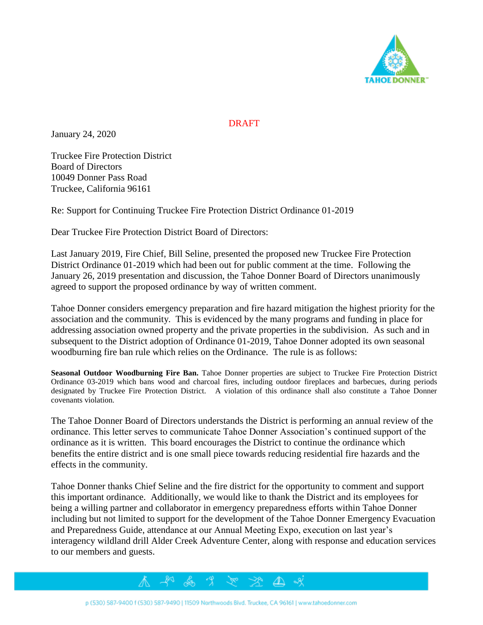

## **DRAFT**

January 24, 2020

Truckee Fire Protection District Board of Directors 10049 Donner Pass Road Truckee, California 96161

Re: Support for Continuing Truckee Fire Protection District Ordinance 01-2019

Dear Truckee Fire Protection District Board of Directors:

Last January 2019, Fire Chief, Bill Seline, presented the proposed new Truckee Fire Protection District Ordinance 01-2019 which had been out for public comment at the time. Following the January 26, 2019 presentation and discussion, the Tahoe Donner Board of Directors unanimously agreed to support the proposed ordinance by way of written comment.

Tahoe Donner considers emergency preparation and fire hazard mitigation the highest priority for the association and the community. This is evidenced by the many programs and funding in place for addressing association owned property and the private properties in the subdivision. As such and in subsequent to the District adoption of Ordinance 01-2019, Tahoe Donner adopted its own seasonal woodburning fire ban rule which relies on the Ordinance. The rule is as follows:

**Seasonal Outdoor Woodburning Fire Ban.** Tahoe Donner properties are subject to Truckee Fire Protection District Ordinance 03-2019 which bans wood and charcoal fires, including outdoor fireplaces and barbecues, during periods designated by Truckee Fire Protection District. A violation of this ordinance shall also constitute a Tahoe Donner covenants violation.

The Tahoe Donner Board of Directors understands the District is performing an annual review of the ordinance. This letter serves to communicate Tahoe Donner Association's continued support of the ordinance as it is written. This board encourages the District to continue the ordinance which benefits the entire district and is one small piece towards reducing residential fire hazards and the effects in the community.

Tahoe Donner thanks Chief Seline and the fire district for the opportunity to comment and support this important ordinance. Additionally, we would like to thank the District and its employees for being a willing partner and collaborator in emergency preparedness efforts within Tahoe Donner including but not limited to support for the development of the Tahoe Donner Emergency Evacuation and Preparedness Guide, attendance at our Annual Meeting Expo, execution on last year's interagency wildland drill Alder Creek Adventure Center, along with response and education services to our members and guests.